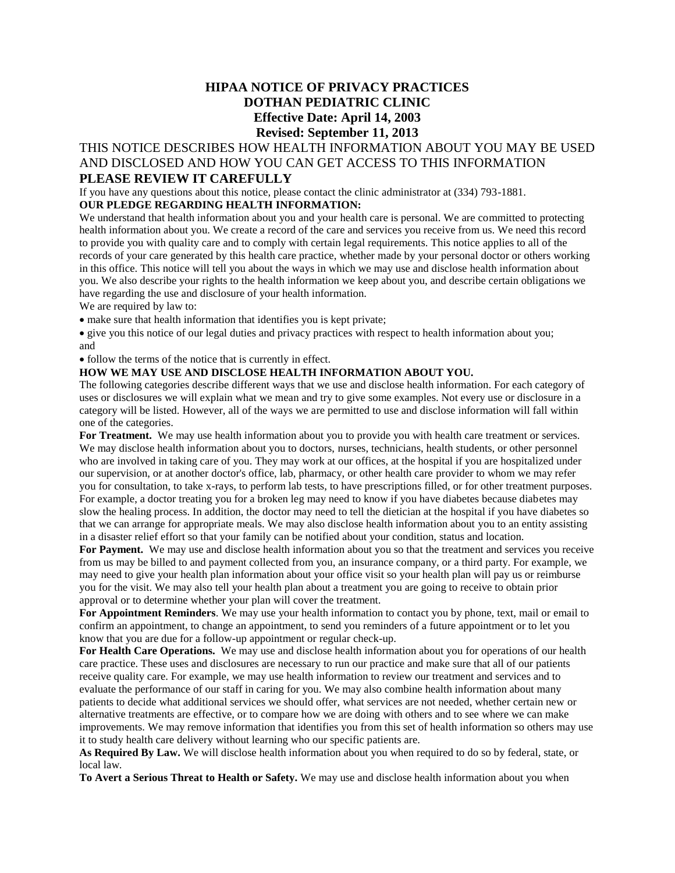# **HIPAA NOTICE OF PRIVACY PRACTICES DOTHAN PEDIATRIC CLINIC Effective Date: April 14, 2003 Revised: September 11, 2013**

THIS NOTICE DESCRIBES HOW HEALTH INFORMATION ABOUT YOU MAY BE USED AND DISCLOSED AND HOW YOU CAN GET ACCESS TO THIS INFORMATION **PLEASE REVIEW IT CAREFULLY**

If you have any questions about this notice, please contact the clinic administrator at (334) 793-1881. **OUR PLEDGE REGARDING HEALTH INFORMATION:**

We understand that health information about you and your health care is personal. We are committed to protecting health information about you. We create a record of the care and services you receive from us. We need this record to provide you with quality care and to comply with certain legal requirements. This notice applies to all of the records of your care generated by this health care practice, whether made by your personal doctor or others working in this office. This notice will tell you about the ways in which we may use and disclose health information about you. We also describe your rights to the health information we keep about you, and describe certain obligations we have regarding the use and disclosure of your health information.

We are required by law to:

make sure that health information that identifies you is kept private;

give you this notice of our legal duties and privacy practices with respect to health information about you; and

• follow the terms of the notice that is currently in effect.

### **HOW WE MAY USE AND DISCLOSE HEALTH INFORMATION ABOUT YOU.**

The following categories describe different ways that we use and disclose health information. For each category of uses or disclosures we will explain what we mean and try to give some examples. Not every use or disclosure in a category will be listed. However, all of the ways we are permitted to use and disclose information will fall within one of the categories.

**For Treatment.** We may use health information about you to provide you with health care treatment or services. We may disclose health information about you to doctors, nurses, technicians, health students, or other personnel who are involved in taking care of you. They may work at our offices, at the hospital if you are hospitalized under our supervision, or at another doctor's office, lab, pharmacy, or other health care provider to whom we may refer you for consultation, to take x-rays, to perform lab tests, to have prescriptions filled, or for other treatment purposes. For example, a doctor treating you for a broken leg may need to know if you have diabetes because diabetes may slow the healing process. In addition, the doctor may need to tell the dietician at the hospital if you have diabetes so that we can arrange for appropriate meals. We may also disclose health information about you to an entity assisting in a disaster relief effort so that your family can be notified about your condition, status and location.

**For Payment.** We may use and disclose health information about you so that the treatment and services you receive from us may be billed to and payment collected from you, an insurance company, or a third party. For example, we may need to give your health plan information about your office visit so your health plan will pay us or reimburse you for the visit. We may also tell your health plan about a treatment you are going to receive to obtain prior approval or to determine whether your plan will cover the treatment.

**For Appointment Reminders**. We may use your health information to contact you by phone, text, mail or email to confirm an appointment, to change an appointment, to send you reminders of a future appointment or to let you know that you are due for a follow-up appointment or regular check-up.

**For Health Care Operations.** We may use and disclose health information about you for operations of our health care practice. These uses and disclosures are necessary to run our practice and make sure that all of our patients receive quality care. For example, we may use health information to review our treatment and services and to evaluate the performance of our staff in caring for you. We may also combine health information about many patients to decide what additional services we should offer, what services are not needed, whether certain new or alternative treatments are effective, or to compare how we are doing with others and to see where we can make improvements. We may remove information that identifies you from this set of health information so others may use it to study health care delivery without learning who our specific patients are.

**As Required By Law.** We will disclose health information about you when required to do so by federal, state, or local law.

**To Avert a Serious Threat to Health or Safety.** We may use and disclose health information about you when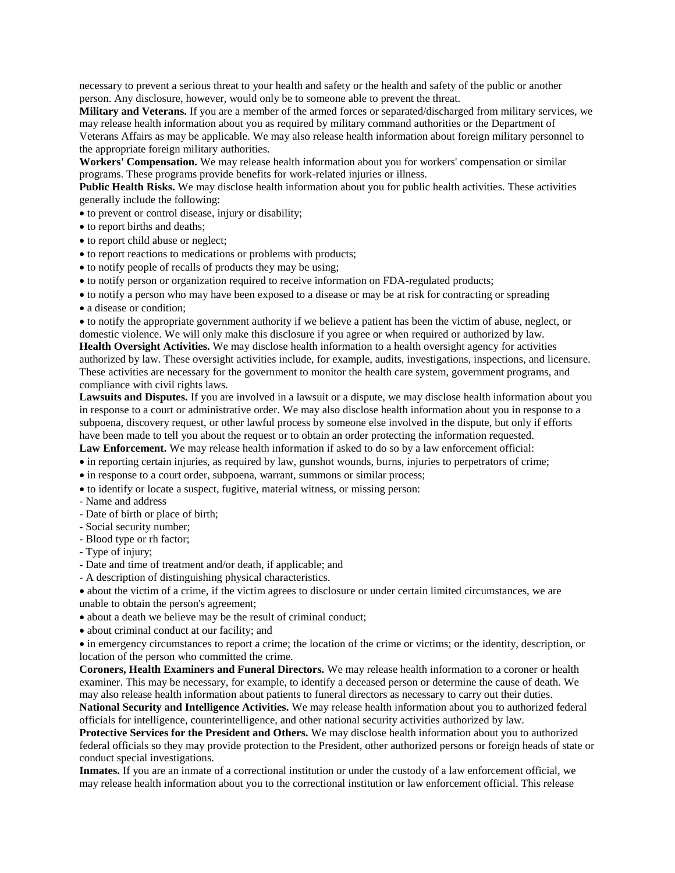necessary to prevent a serious threat to your health and safety or the health and safety of the public or another person. Any disclosure, however, would only be to someone able to prevent the threat.

**Military and Veterans.** If you are a member of the armed forces or separated/discharged from military services, we may release health information about you as required by military command authorities or the Department of Veterans Affairs as may be applicable. We may also release health information about foreign military personnel to the appropriate foreign military authorities.

**Workers' Compensation.** We may release health information about you for workers' compensation or similar programs. These programs provide benefits for work-related injuries or illness.

**Public Health Risks.** We may disclose health information about you for public health activities. These activities generally include the following:

to prevent or control disease, injury or disability;

- to report births and deaths;
- to report child abuse or neglect;
- to report reactions to medications or problems with products;
- to notify people of recalls of products they may be using;
- to notify person or organization required to receive information on FDA-regulated products;

to notify a person who may have been exposed to a disease or may be at risk for contracting or spreading

a disease or condition;

to notify the appropriate government authority if we believe a patient has been the victim of abuse, neglect, or domestic violence. We will only make this disclosure if you agree or when required or authorized by law.

**Health Oversight Activities.** We may disclose health information to a health oversight agency for activities authorized by law. These oversight activities include, for example, audits, investigations, inspections, and licensure. These activities are necessary for the government to monitor the health care system, government programs, and compliance with civil rights laws.

Lawsuits and Disputes. If you are involved in a lawsuit or a dispute, we may disclose health information about you in response to a court or administrative order. We may also disclose health information about you in response to a subpoena, discovery request, or other lawful process by someone else involved in the dispute, but only if efforts have been made to tell you about the request or to obtain an order protecting the information requested. **Law Enforcement.** We may release health information if asked to do so by a law enforcement official:

in reporting certain injuries, as required by law, gunshot wounds, burns, injuries to perpetrators of crime;

- in response to a court order, subpoena, warrant, summons or similar process;
- to identify or locate a suspect, fugitive, material witness, or missing person:
- Name and address
- Date of birth or place of birth;
- Social security number;
- Blood type or rh factor;
- Type of injury;
- Date and time of treatment and/or death, if applicable; and
- A description of distinguishing physical characteristics.

about the victim of a crime, if the victim agrees to disclosure or under certain limited circumstances, we are unable to obtain the person's agreement;

- about a death we believe may be the result of criminal conduct;
- about criminal conduct at our facility; and

in emergency circumstances to report a crime; the location of the crime or victims; or the identity, description, or location of the person who committed the crime.

**Coroners, Health Examiners and Funeral Directors.** We may release health information to a coroner or health examiner. This may be necessary, for example, to identify a deceased person or determine the cause of death. We may also release health information about patients to funeral directors as necessary to carry out their duties.

**National Security and Intelligence Activities.** We may release health information about you to authorized federal officials for intelligence, counterintelligence, and other national security activities authorized by law.

**Protective Services for the President and Others.** We may disclose health information about you to authorized federal officials so they may provide protection to the President, other authorized persons or foreign heads of state or conduct special investigations.

**Inmates.** If you are an inmate of a correctional institution or under the custody of a law enforcement official, we may release health information about you to the correctional institution or law enforcement official. This release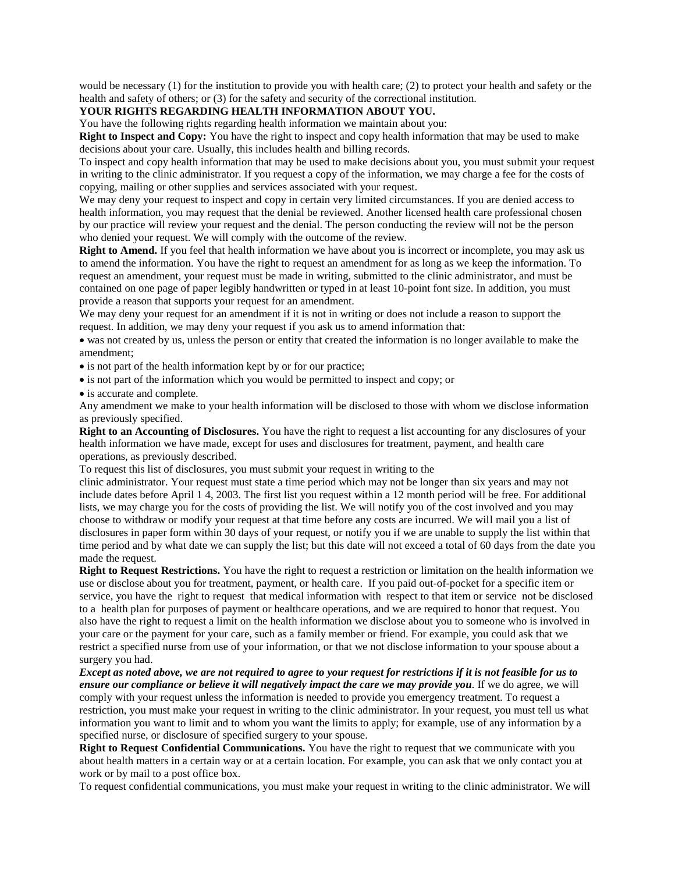would be necessary (1) for the institution to provide you with health care; (2) to protect your health and safety or the health and safety of others; or (3) for the safety and security of the correctional institution.

# **YOUR RIGHTS REGARDING HEALTH INFORMATION ABOUT YOU.**

You have the following rights regarding health information we maintain about you:

**Right to Inspect and Copy:** You have the right to inspect and copy health information that may be used to make decisions about your care. Usually, this includes health and billing records.

To inspect and copy health information that may be used to make decisions about you, you must submit your request in writing to the clinic administrator. If you request a copy of the information, we may charge a fee for the costs of copying, mailing or other supplies and services associated with your request.

We may deny your request to inspect and copy in certain very limited circumstances. If you are denied access to health information, you may request that the denial be reviewed. Another licensed health care professional chosen by our practice will review your request and the denial. The person conducting the review will not be the person who denied your request. We will comply with the outcome of the review.

**Right to Amend.** If you feel that health information we have about you is incorrect or incomplete, you may ask us to amend the information. You have the right to request an amendment for as long as we keep the information. To request an amendment, your request must be made in writing, submitted to the clinic administrator, and must be contained on one page of paper legibly handwritten or typed in at least 10-point font size. In addition, you must provide a reason that supports your request for an amendment.

We may deny your request for an amendment if it is not in writing or does not include a reason to support the request. In addition, we may deny your request if you ask us to amend information that:

was not created by us, unless the person or entity that created the information is no longer available to make the amendment;

- is not part of the health information kept by or for our practice;
- is not part of the information which you would be permitted to inspect and copy; or
- is accurate and complete.

Any amendment we make to your health information will be disclosed to those with whom we disclose information as previously specified.

**Right to an Accounting of Disclosures.** You have the right to request a list accounting for any disclosures of your health information we have made, except for uses and disclosures for treatment, payment, and health care operations, as previously described.

To request this list of disclosures, you must submit your request in writing to the

clinic administrator. Your request must state a time period which may not be longer than six years and may not include dates before April 1 4, 2003. The first list you request within a 12 month period will be free. For additional lists, we may charge you for the costs of providing the list. We will notify you of the cost involved and you may choose to withdraw or modify your request at that time before any costs are incurred. We will mail you a list of disclosures in paper form within 30 days of your request, or notify you if we are unable to supply the list within that time period and by what date we can supply the list; but this date will not exceed a total of 60 days from the date you made the request.

**Right to Request Restrictions.** You have the right to request a restriction or limitation on the health information we use or disclose about you for treatment, payment, or health care. If you paid out-of-pocket for a specific item or service, you have the right to request that medical information with respect to that item or service not be disclosed to a health plan for purposes of payment or healthcare operations, and we are required to honor that request. You also have the right to request a limit on the health information we disclose about you to someone who is involved in your care or the payment for your care, such as a family member or friend. For example, you could ask that we restrict a specified nurse from use of your information, or that we not disclose information to your spouse about a surgery you had.

*Except as noted above, we are not required to agree to your request for restrictions if it is not feasible for us to ensure our compliance or believe it will negatively impact the care we may provide you.* If we do agree, we will comply with your request unless the information is needed to provide you emergency treatment. To request a restriction, you must make your request in writing to the clinic administrator. In your request, you must tell us what information you want to limit and to whom you want the limits to apply; for example, use of any information by a specified nurse, or disclosure of specified surgery to your spouse.

**Right to Request Confidential Communications.** You have the right to request that we communicate with you about health matters in a certain way or at a certain location. For example, you can ask that we only contact you at work or by mail to a post office box.

To request confidential communications, you must make your request in writing to the clinic administrator. We will